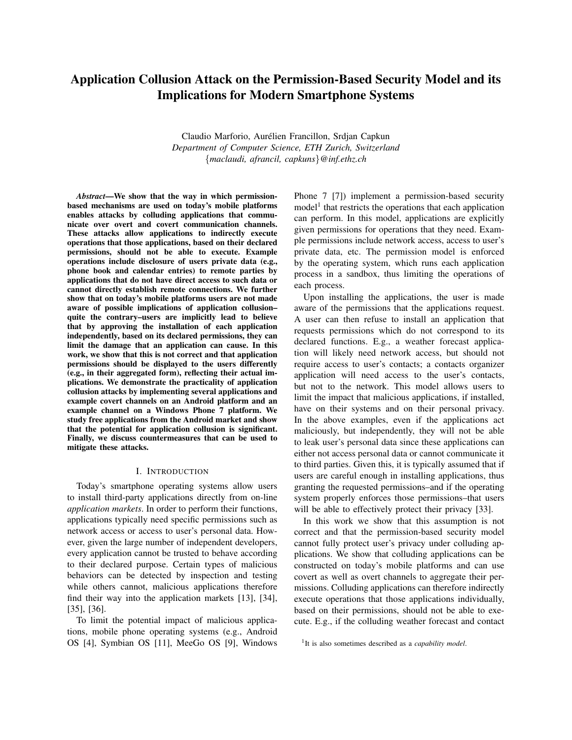# Application Collusion Attack on the Permission-Based Security Model and its Implications for Modern Smartphone Systems

Claudio Marforio, Aurelien Francillon, Srdjan Capkun ´ *Department of Computer Science, ETH Zurich, Switzerland* {*maclaudi, afrancil, capkuns*}*@inf.ethz.ch*

*Abstract*—We show that the way in which permissionbased mechanisms are used on today's mobile platforms enables attacks by colluding applications that communicate over overt and covert communication channels. These attacks allow applications to indirectly execute operations that those applications, based on their declared permissions, should not be able to execute. Example operations include disclosure of users private data (e.g., phone book and calendar entries) to remote parties by applications that do not have direct access to such data or cannot directly establish remote connections. We further show that on today's mobile platforms users are not made aware of possible implications of application collusion– quite the contrary–users are implicitly lead to believe that by approving the installation of each application independently, based on its declared permissions, they can limit the damage that an application can cause. In this work, we show that this is not correct and that application permissions should be displayed to the users differently (e.g., in their aggregated form), reflecting their actual implications. We demonstrate the practicality of application collusion attacks by implementing several applications and example covert channels on an Android platform and an example channel on a Windows Phone 7 platform. We study free applications from the Android market and show that the potential for application collusion is significant. Finally, we discuss countermeasures that can be used to mitigate these attacks.

#### I. INTRODUCTION

Today's smartphone operating systems allow users to install third-party applications directly from on-line *application markets*. In order to perform their functions, applications typically need specific permissions such as network access or access to user's personal data. However, given the large number of independent developers, every application cannot be trusted to behave according to their declared purpose. Certain types of malicious behaviors can be detected by inspection and testing while others cannot, malicious applications therefore find their way into the application markets [\[13\]](#page-14-0), [\[34\]](#page-15-0), [\[35\]](#page-15-1), [\[36\]](#page-15-2).

To limit the potential impact of malicious applications, mobile phone operating systems (e.g., Android OS [\[4\]](#page-14-1), Symbian OS [\[11\]](#page-14-2), MeeGo OS [\[9\]](#page-14-3), Windows Phone 7 [\[7\]](#page-14-4)) implement a permission-based security model<sup>[1](#page-0-0)</sup> that restricts the operations that each application can perform. In this model, applications are explicitly given permissions for operations that they need. Example permissions include network access, access to user's private data, etc. The permission model is enforced by the operating system, which runs each application process in a sandbox, thus limiting the operations of each process.

Upon installing the applications, the user is made aware of the permissions that the applications request. A user can then refuse to install an application that requests permissions which do not correspond to its declared functions. E.g., a weather forecast application will likely need network access, but should not require access to user's contacts; a contacts organizer application will need access to the user's contacts, but not to the network. This model allows users to limit the impact that malicious applications, if installed, have on their systems and on their personal privacy. In the above examples, even if the applications act maliciously, but independently, they will not be able to leak user's personal data since these applications can either not access personal data or cannot communicate it to third parties. Given this, it is typically assumed that if users are careful enough in installing applications, thus granting the requested permissions–and if the operating system properly enforces those permissions–that users will be able to effectively protect their privacy [\[33\]](#page-15-3).

In this work we show that this assumption is not correct and that the permission-based security model cannot fully protect user's privacy under colluding applications. We show that colluding applications can be constructed on today's mobile platforms and can use covert as well as overt channels to aggregate their permissions. Colluding applications can therefore indirectly execute operations that those applications individually, based on their permissions, should not be able to execute. E.g., if the colluding weather forecast and contact

<span id="page-0-0"></span><sup>1</sup> It is also sometimes described as a *capability model*.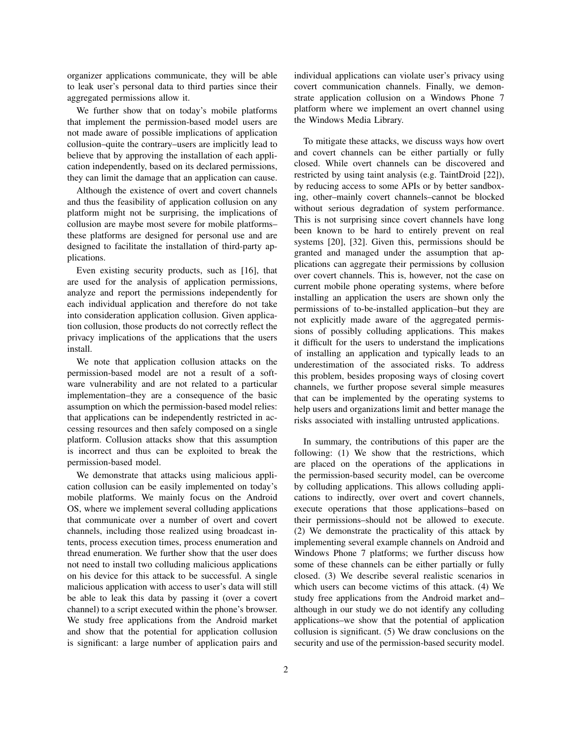organizer applications communicate, they will be able to leak user's personal data to third parties since their aggregated permissions allow it.

We further show that on today's mobile platforms that implement the permission-based model users are not made aware of possible implications of application collusion–quite the contrary–users are implicitly lead to believe that by approving the installation of each application independently, based on its declared permissions, they can limit the damage that an application can cause.

Although the existence of overt and covert channels and thus the feasibility of application collusion on any platform might not be surprising, the implications of collusion are maybe most severe for mobile platforms– these platforms are designed for personal use and are designed to facilitate the installation of third-party applications.

Even existing security products, such as [\[16\]](#page-14-5), that are used for the analysis of application permissions, analyze and report the permissions independently for each individual application and therefore do not take into consideration application collusion. Given application collusion, those products do not correctly reflect the privacy implications of the applications that the users install.

We note that application collusion attacks on the permission-based model are not a result of a software vulnerability and are not related to a particular implementation–they are a consequence of the basic assumption on which the permission-based model relies: that applications can be independently restricted in accessing resources and then safely composed on a single platform. Collusion attacks show that this assumption is incorrect and thus can be exploited to break the permission-based model.

We demonstrate that attacks using malicious application collusion can be easily implemented on today's mobile platforms. We mainly focus on the Android OS, where we implement several colluding applications that communicate over a number of overt and covert channels, including those realized using broadcast intents, process execution times, process enumeration and thread enumeration. We further show that the user does not need to install two colluding malicious applications on his device for this attack to be successful. A single malicious application with access to user's data will still be able to leak this data by passing it (over a covert channel) to a script executed within the phone's browser. We study free applications from the Android market and show that the potential for application collusion is significant: a large number of application pairs and individual applications can violate user's privacy using covert communication channels. Finally, we demonstrate application collusion on a Windows Phone 7 platform where we implement an overt channel using the Windows Media Library.

To mitigate these attacks, we discuss ways how overt and covert channels can be either partially or fully closed. While overt channels can be discovered and restricted by using taint analysis (e.g. TaintDroid [\[22\]](#page-14-6)), by reducing access to some APIs or by better sandboxing, other–mainly covert channels–cannot be blocked without serious degradation of system performance. This is not surprising since covert channels have long been known to be hard to entirely prevent on real systems [\[20\]](#page-14-7), [\[32\]](#page-14-8). Given this, permissions should be granted and managed under the assumption that applications can aggregate their permissions by collusion over covert channels. This is, however, not the case on current mobile phone operating systems, where before installing an application the users are shown only the permissions of to-be-installed application–but they are not explicitly made aware of the aggregated permissions of possibly colluding applications. This makes it difficult for the users to understand the implications of installing an application and typically leads to an underestimation of the associated risks. To address this problem, besides proposing ways of closing covert channels, we further propose several simple measures that can be implemented by the operating systems to help users and organizations limit and better manage the risks associated with installing untrusted applications.

In summary, the contributions of this paper are the following: (1) We show that the restrictions, which are placed on the operations of the applications in the permission-based security model, can be overcome by colluding applications. This allows colluding applications to indirectly, over overt and covert channels, execute operations that those applications–based on their permissions–should not be allowed to execute. (2) We demonstrate the practicality of this attack by implementing several example channels on Android and Windows Phone 7 platforms; we further discuss how some of these channels can be either partially or fully closed. (3) We describe several realistic scenarios in which users can become victims of this attack. (4) We study free applications from the Android market and– although in our study we do not identify any colluding applications–we show that the potential of application collusion is significant. (5) We draw conclusions on the security and use of the permission-based security model.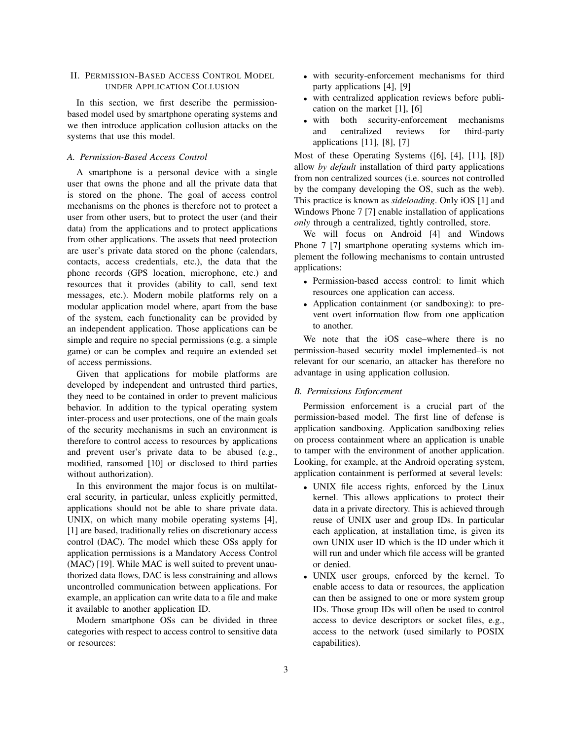## <span id="page-2-0"></span>II. PERMISSION-BASED ACCESS CONTROL MODEL UNDER APPLICATION COLLUSION

In this section, we first describe the permissionbased model used by smartphone operating systems and we then introduce application collusion attacks on the systems that use this model.

#### *A. Permission-Based Access Control*

A smartphone is a personal device with a single user that owns the phone and all the private data that is stored on the phone. The goal of access control mechanisms on the phones is therefore not to protect a user from other users, but to protect the user (and their data) from the applications and to protect applications from other applications. The assets that need protection are user's private data stored on the phone (calendars, contacts, access credentials, etc.), the data that the phone records (GPS location, microphone, etc.) and resources that it provides (ability to call, send text messages, etc.). Modern mobile platforms rely on a modular application model where, apart from the base of the system, each functionality can be provided by an independent application. Those applications can be simple and require no special permissions (e.g. a simple game) or can be complex and require an extended set of access permissions.

Given that applications for mobile platforms are developed by independent and untrusted third parties, they need to be contained in order to prevent malicious behavior. In addition to the typical operating system inter-process and user protections, one of the main goals of the security mechanisms in such an environment is therefore to control access to resources by applications and prevent user's private data to be abused (e.g., modified, ransomed [\[10\]](#page-14-9) or disclosed to third parties without authorization).

In this environment the major focus is on multilateral security, in particular, unless explicitly permitted, applications should not be able to share private data. UNIX, on which many mobile operating systems [\[4\]](#page-14-1), [\[1\]](#page-13-0) are based, traditionally relies on discretionary access control (DAC). The model which these OSs apply for application permissions is a Mandatory Access Control (MAC) [\[19\]](#page-14-10). While MAC is well suited to prevent unauthorized data flows, DAC is less constraining and allows uncontrolled communication between applications. For example, an application can write data to a file and make it available to another application ID.

Modern smartphone OSs can be divided in three categories with respect to access control to sensitive data or resources:

- with security-enforcement mechanisms for third party applications [\[4\]](#page-14-1), [\[9\]](#page-14-3)
- with centralized application reviews before publication on the market [\[1\]](#page-13-0), [\[6\]](#page-14-11)
- with both security-enforcement mechanisms and centralized reviews for third-party applications [\[11\]](#page-14-2), [\[8\]](#page-14-12), [\[7\]](#page-14-4)

Most of these Operating Systems ([\[6\]](#page-14-11), [\[4\]](#page-14-1), [\[11\]](#page-14-2), [\[8\]](#page-14-12)) allow *by default* installation of third party applications from non centralized sources (i.e. sources not controlled by the company developing the OS, such as the web). This practice is known as *sideloading*. Only iOS [\[1\]](#page-13-0) and Windows Phone 7 [\[7\]](#page-14-4) enable installation of applications *only* through a centralized, tightly controlled, store.

We will focus on Android [\[4\]](#page-14-1) and Windows Phone 7 [\[7\]](#page-14-4) smartphone operating systems which implement the following mechanisms to contain untrusted applications:

- Permission-based access control: to limit which resources one application can access.
- Application containment (or sandboxing): to prevent overt information flow from one application to another.

We note that the iOS case–where there is no permission-based security model implemented–is not relevant for our scenario, an attacker has therefore no advantage in using application collusion.

## *B. Permissions Enforcement*

Permission enforcement is a crucial part of the permission-based model. The first line of defense is application sandboxing. Application sandboxing relies on process containment where an application is unable to tamper with the environment of another application. Looking, for example, at the Android operating system, application containment is performed at several levels:

- UNIX file access rights, enforced by the Linux kernel. This allows applications to protect their data in a private directory. This is achieved through reuse of UNIX user and group IDs. In particular each application, at installation time, is given its own UNIX user ID which is the ID under which it will run and under which file access will be granted or denied.
- UNIX user groups, enforced by the kernel. To enable access to data or resources, the application can then be assigned to one or more system group IDs. Those group IDs will often be used to control access to device descriptors or socket files, e.g., access to the network (used similarly to POSIX capabilities).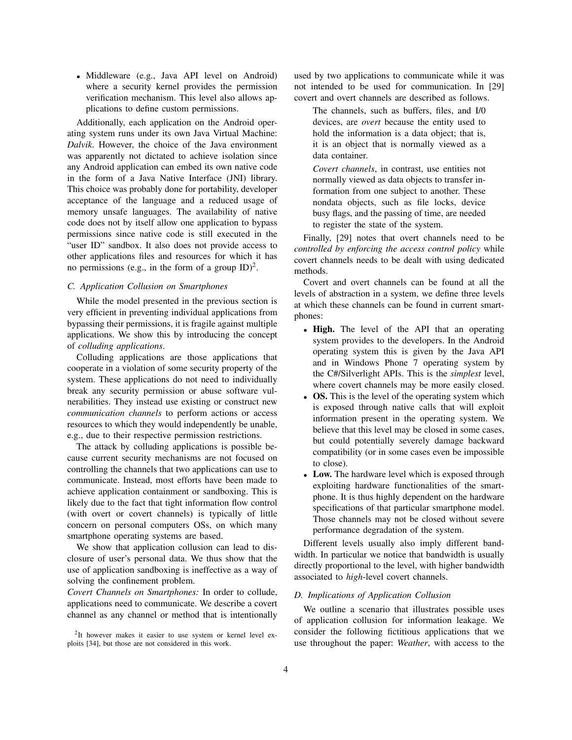• Middleware (e.g., Java API level on Android) where a security kernel provides the permission verification mechanism. This level also allows applications to define custom permissions.

Additionally, each application on the Android operating system runs under its own Java Virtual Machine: *Dalvik*. However, the choice of the Java environment was apparently not dictated to achieve isolation since any Android application can embed its own native code in the form of a Java Native Interface (JNI) library. This choice was probably done for portability, developer acceptance of the language and a reduced usage of memory unsafe languages. The availability of native code does not by itself allow one application to bypass permissions since native code is still executed in the "user ID" sandbox. It also does not provide access to other applications files and resources for which it has no permissions (e.g., in the form of a group  $ID)^2$  $ID)^2$ .

### *C. Application Collusion on Smartphones*

While the model presented in the previous section is very efficient in preventing individual applications from bypassing their permissions, it is fragile against multiple applications. We show this by introducing the concept of *colluding applications*.

Colluding applications are those applications that cooperate in a violation of some security property of the system. These applications do not need to individually break any security permission or abuse software vulnerabilities. They instead use existing or construct new *communication channels* to perform actions or access resources to which they would independently be unable, e.g., due to their respective permission restrictions.

The attack by colluding applications is possible because current security mechanisms are not focused on controlling the channels that two applications can use to communicate. Instead, most efforts have been made to achieve application containment or sandboxing. This is likely due to the fact that tight information flow control (with overt or covert channels) is typically of little concern on personal computers OSs, on which many smartphone operating systems are based.

We show that application collusion can lead to disclosure of user's personal data. We thus show that the use of application sandboxing is ineffective as a way of solving the confinement problem.

*Covert Channels on Smartphones:* In order to collude, applications need to communicate. We describe a covert channel as any channel or method that is intentionally used by two applications to communicate while it was not intended to be used for communication. In [\[29\]](#page-14-13) covert and overt channels are described as follows.

The channels, such as buffers, files, and I/0 devices, are *overt* because the entity used to hold the information is a data object; that is, it is an object that is normally viewed as a data container.

*Covert channels*, in contrast, use entities not normally viewed as data objects to transfer information from one subject to another. These nondata objects, such as file locks, device busy flags, and the passing of time, are needed to register the state of the system.

Finally, [\[29\]](#page-14-13) notes that overt channels need to be *controlled by enforcing the access control policy* while covert channels needs to be dealt with using dedicated methods.

Covert and overt channels can be found at all the levels of abstraction in a system, we define three levels at which these channels can be found in current smartphones:

- High. The level of the API that an operating system provides to the developers. In the Android operating system this is given by the Java API and in Windows Phone 7 operating system by the C#/Silverlight APIs. This is the *simplest* level, where covert channels may be more easily closed.
- OS. This is the level of the operating system which is exposed through native calls that will exploit information present in the operating system. We believe that this level may be closed in some cases, but could potentially severely damage backward compatibility (or in some cases even be impossible to close).
- Low. The hardware level which is exposed through exploiting hardware functionalities of the smartphone. It is thus highly dependent on the hardware specifications of that particular smartphone model. Those channels may not be closed without severe performance degradation of the system.

Different levels usually also imply different bandwidth. In particular we notice that bandwidth is usually directly proportional to the level, with higher bandwidth associated to *high*-level covert channels.

#### *D. Implications of Application Collusion*

We outline a scenario that illustrates possible uses of application collusion for information leakage. We consider the following fictitious applications that we use throughout the paper: *Weather*, with access to the

<span id="page-3-0"></span><sup>&</sup>lt;sup>2</sup>It however makes it easier to use system or kernel level exploits [\[34\]](#page-15-0), but those are not considered in this work.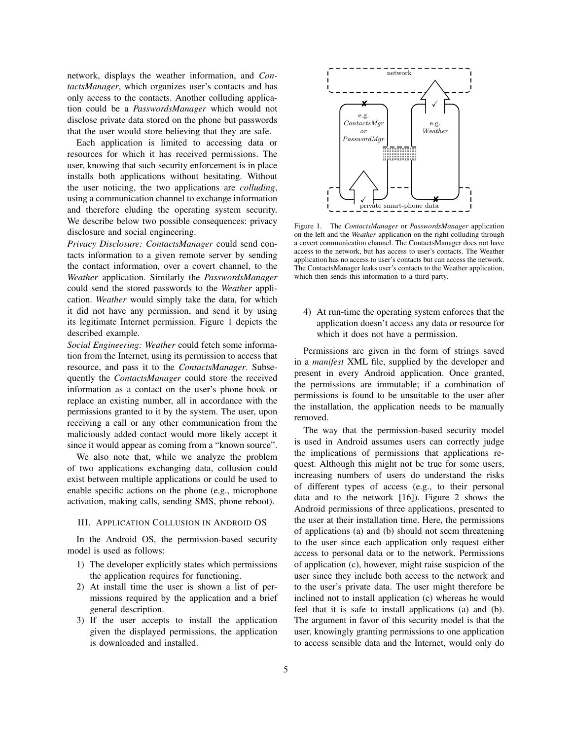network, displays the weather information, and *ContactsManager*, which organizes user's contacts and has only access to the contacts. Another colluding application could be a *PasswordsManager* which would not disclose private data stored on the phone but passwords that the user would store believing that they are safe.

Each application is limited to accessing data or resources for which it has received permissions. The user, knowing that such security enforcement is in place installs both applications without hesitating. Without the user noticing, the two applications are *colluding*, using a communication channel to exchange information and therefore eluding the operating system security. We describe below two possible consequences: privacy disclosure and social engineering.

*Privacy Disclosure: ContactsManager* could send contacts information to a given remote server by sending the contact information, over a covert channel, to the *Weather* application. Similarly the *PasswordsManager* could send the stored passwords to the *Weather* application. *Weather* would simply take the data, for which it did not have any permission, and send it by using its legitimate Internet permission. Figure [1](#page-4-0) depicts the described example.

*Social Engineering: Weather* could fetch some information from the Internet, using its permission to access that resource, and pass it to the *ContactsManager*. Subsequently the *ContactsManager* could store the received information as a contact on the user's phone book or replace an existing number, all in accordance with the permissions granted to it by the system. The user, upon receiving a call or any other communication from the maliciously added contact would more likely accept it since it would appear as coming from a "known source".

We also note that, while we analyze the problem of two applications exchanging data, collusion could exist between multiple applications or could be used to enable specific actions on the phone (e.g., microphone activation, making calls, sending SMS, phone reboot).

#### <span id="page-4-1"></span>III. APPLICATION COLLUSION IN ANDROID OS

In the Android OS, the permission-based security model is used as follows:

- 1) The developer explicitly states which permissions the application requires for functioning.
- 2) At install time the user is shown a list of permissions required by the application and a brief general description.
- 3) If the user accepts to install the application given the displayed permissions, the application is downloaded and installed.



<span id="page-4-0"></span>Figure 1. The *ContactsManager* or *PasswordsManager* application on the left and the *Weather* application on the right colluding through a covert communication channel. The ContactsManager does not have access to the network, but has access to user's contacts. The Weather application has no access to user's contacts but can access the network. The ContactsManager leaks user's contacts to the Weather application, which then sends this information to a third party.

4) At run-time the operating system enforces that the application doesn't access any data or resource for which it does not have a permission.

Permissions are given in the form of strings saved in a *manifest* XML file, supplied by the developer and present in every Android application. Once granted, the permissions are immutable; if a combination of permissions is found to be unsuitable to the user after the installation, the application needs to be manually removed.

The way that the permission-based security model is used in Android assumes users can correctly judge the implications of permissions that applications request. Although this might not be true for some users, increasing numbers of users do understand the risks of different types of access (e.g., to their personal data and to the network [\[16\]](#page-14-5)). Figure [2](#page-6-0) shows the Android permissions of three applications, presented to the user at their installation time. Here, the permissions of applications (a) and (b) should not seem threatening to the user since each application only request either access to personal data or to the network. Permissions of application (c), however, might raise suspicion of the user since they include both access to the network and to the user's private data. The user might therefore be inclined not to install application (c) whereas he would feel that it is safe to install applications (a) and (b). The argument in favor of this security model is that the user, knowingly granting permissions to one application to access sensible data and the Internet, would only do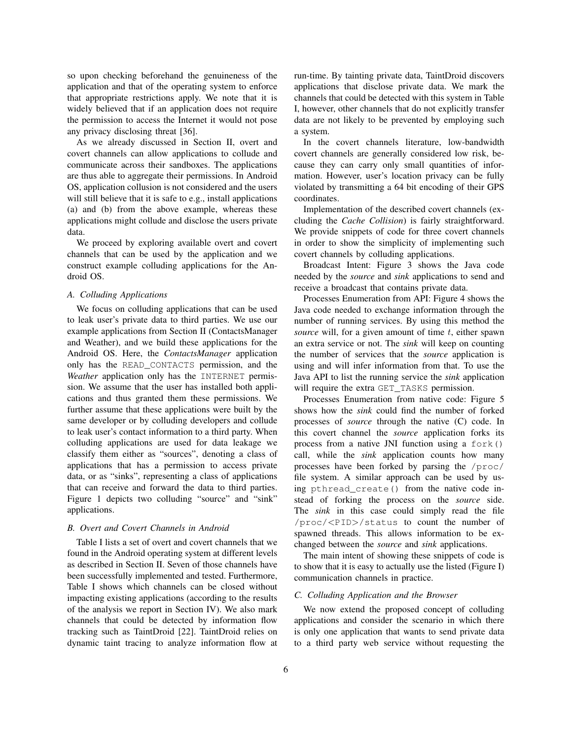so upon checking beforehand the genuineness of the application and that of the operating system to enforce that appropriate restrictions apply. We note that it is widely believed that if an application does not require the permission to access the Internet it would not pose any privacy disclosing threat [\[36\]](#page-15-2).

As we already discussed in Section [II,](#page-2-0) overt and covert channels can allow applications to collude and communicate across their sandboxes. The applications are thus able to aggregate their permissions. In Android OS, application collusion is not considered and the users will still believe that it is safe to e.g., install applications (a) and (b) from the above example, whereas these applications might collude and disclose the users private data.

We proceed by exploring available overt and covert channels that can be used by the application and we construct example colluding applications for the Android OS.

#### *A. Colluding Applications*

We focus on colluding applications that can be used to leak user's private data to third parties. We use our example applications from Section [II](#page-2-0) (ContactsManager and Weather), and we build these applications for the Android OS. Here, the *ContactsManager* application only has the READ\_CONTACTS permission, and the *Weather* application only has the INTERNET permission. We assume that the user has installed both applications and thus granted them these permissions. We further assume that these applications were built by the same developer or by colluding developers and collude to leak user's contact information to a third party. When colluding applications are used for data leakage we classify them either as "sources", denoting a class of applications that has a permission to access private data, or as "sinks", representing a class of applications that can receive and forward the data to third parties. Figure [1](#page-4-0) depicts two colluding "source" and "sink" applications.

### <span id="page-5-0"></span>*B. Overt and Covert Channels in Android*

Table [I](#page-6-1) lists a set of overt and covert channels that we found in the Android operating system at different levels as described in Section [II.](#page-2-0) Seven of those channels have been successfully implemented and tested. Furthermore, Table [I](#page-6-1) shows which channels can be closed without impacting existing applications (according to the results of the analysis we report in Section [IV\)](#page-7-0). We also mark channels that could be detected by information flow tracking such as TaintDroid [\[22\]](#page-14-6). TaintDroid relies on dynamic taint tracing to analyze information flow at run-time. By tainting private data, TaintDroid discovers applications that disclose private data. We mark the channels that could be detected with this system in Table [I,](#page-6-1) however, other channels that do not explicitly transfer data are not likely to be prevented by employing such a system.

In the covert channels literature, low-bandwidth covert channels are generally considered low risk, because they can carry only small quantities of information. However, user's location privacy can be fully violated by transmitting a 64 bit encoding of their GPS coordinates.

Implementation of the described covert channels (excluding the *Cache Collision*) is fairly straightforward. We provide snippets of code for three covert channels in order to show the simplicity of implementing such covert channels by colluding applications.

Broadcast Intent: Figure [3](#page-7-1) shows the Java code needed by the *source* and *sink* applications to send and receive a broadcast that contains private data.

Processes Enumeration from API: Figure [4](#page-7-2) shows the Java code needed to exchange information through the number of running services. By using this method the *source* will, for a given amount of time t, either spawn an extra service or not. The *sink* will keep on counting the number of services that the *source* application is using and will infer information from that. To use the Java API to list the running service the *sink* application will require the extra GET\_TASKS permission.

Processes Enumeration from native code: Figure [5](#page-8-0) shows how the *sink* could find the number of forked processes of *source* through the native (C) code. In this covert channel the *source* application forks its process from a native JNI function using a fork() call, while the *sink* application counts how many processes have been forked by parsing the /proc/ file system. A similar approach can be used by using pthread\_create() from the native code instead of forking the process on the *source* side. The *sink* in this case could simply read the file /proc/<PID>/status to count the number of spawned threads. This allows information to be exchanged between the *source* and *sink* applications.

The main intent of showing these snippets of code is to show that it is easy to actually use the listed (Figure [I\)](#page-6-1) communication channels in practice.

#### *C. Colluding Application and the Browser*

We now extend the proposed concept of colluding applications and consider the scenario in which there is only one application that wants to send private data to a third party web service without requesting the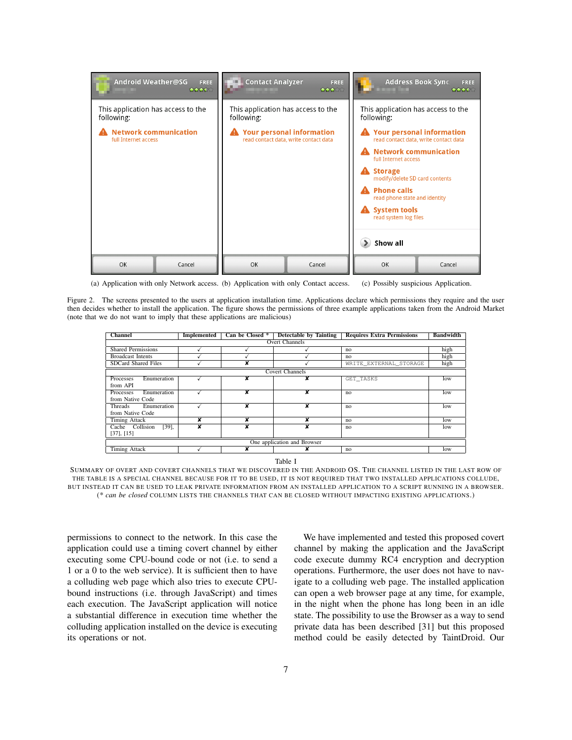

<span id="page-6-0"></span>(a) Application with only Network access. (b) Application with only Contact access. (c) Possibly suspicious Application.

Figure 2. The screens presented to the users at application installation time. Applications declare which permissions they require and the user then decides whether to install the application. The figure shows the permissions of three example applications taken from the Android Market (note that we do not want to imply that these applications are malicious)

| <b>Channel</b>              | Implemented | Can be Closed *         | <b>Detectable by Tainting</b> | <b>Requires Extra Permissions</b> | <b>Bandwidth</b> |
|-----------------------------|-------------|-------------------------|-------------------------------|-----------------------------------|------------------|
| <b>Overt Channels</b>       |             |                         |                               |                                   |                  |
| <b>Shared Permissions</b>   |             |                         |                               | no                                | high             |
| <b>Broadcast Intents</b>    |             |                         |                               | no                                | high             |
| SDCard Shared Files         |             | v                       |                               | WRITE EXTERNAL STORAGE            | high             |
| <b>Covert Channels</b>      |             |                         |                               |                                   |                  |
| Enumeration<br>Processes    |             | ×                       | ×                             | GET TASKS                         | low              |
| from API                    |             |                         |                               |                                   |                  |
| Enumeration<br>Processes    |             | $\overline{\textbf{x}}$ | $\overline{\mathbf{x}}$       | no                                | low              |
| from Native Code            |             |                         |                               |                                   |                  |
| Enumeration<br>Threads      |             | $\overline{\mathbf{x}}$ | $\overline{\textbf{x}}$       | no                                | low              |
| from Native Code            |             |                         |                               |                                   |                  |
| Timing Attack               | ×           | ×                       | ×                             | n <sub>0</sub>                    | low              |
| $[39]$ ,<br>Cache Collision | x           | x                       | x                             | no                                | low              |
| [37], [15]                  |             |                         |                               |                                   |                  |
| One application and Browser |             |                         |                               |                                   |                  |
| <b>Timing Attack</b>        |             | x                       | x                             | no                                | low              |

Table I

<span id="page-6-1"></span>SUMMARY OF OVERT AND COVERT CHANNELS THAT WE DISCOVERED IN THE ANDROID OS. THE CHANNEL LISTED IN THE LAST ROW OF THE TABLE IS A SPECIAL CHANNEL BECAUSE FOR IT TO BE USED, IT IS NOT REQUIRED THAT TWO INSTALLED APPLICATIONS COLLUDE, BUT INSTEAD IT CAN BE USED TO LEAK PRIVATE INFORMATION FROM AN INSTALLED APPLICATION TO A SCRIPT RUNNING IN A BROWSER. (\* *can be closed* COLUMN LISTS THE CHANNELS THAT CAN BE CLOSED WITHOUT IMPACTING EXISTING APPLICATIONS.)

permissions to connect to the network. In this case the application could use a timing covert channel by either executing some CPU-bound code or not (i.e. to send a 1 or a 0 to the web service). It is sufficient then to have a colluding web page which also tries to execute CPUbound instructions (i.e. through JavaScript) and times each execution. The JavaScript application will notice a substantial difference in execution time whether the colluding application installed on the device is executing its operations or not.

We have implemented and tested this proposed covert channel by making the application and the JavaScript code execute dummy RC4 encryption and decryption operations. Furthermore, the user does not have to navigate to a colluding web page. The installed application can open a web browser page at any time, for example, in the night when the phone has long been in an idle state. The possibility to use the Browser as a way to send private data has been described [\[31\]](#page-14-15) but this proposed method could be easily detected by TaintDroid. Our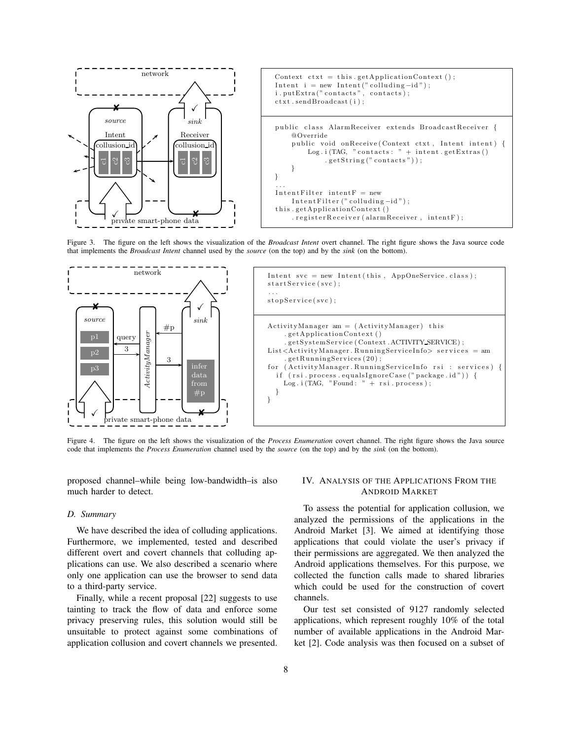

<span id="page-7-1"></span>Figure 3. The figure on the left shows the visualization of the *Broadcast Intent* overt channel. The right figure shows the Java source code that implements the *Broadcast Intent* channel used by the *source* (on the top) and by the *sink* (on the bottom).



<span id="page-7-2"></span>Figure 4. The figure on the left shows the visualization of the *Process Enumeration* covert channel. The right figure shows the Java source code that implements the *Process Enumeration* channel used by the *source* (on the top) and by the *sink* (on the bottom).

proposed channel–while being low-bandwidth–is also much harder to detect.

# *D. Summary*

We have described the idea of colluding applications. Furthermore, we implemented, tested and described different overt and covert channels that colluding applications can use. We also described a scenario where only one application can use the browser to send data to a third-party service.

Finally, while a recent proposal [\[22\]](#page-14-6) suggests to use tainting to track the flow of data and enforce some privacy preserving rules, this solution would still be unsuitable to protect against some combinations of application collusion and covert channels we presented.

## <span id="page-7-0"></span>IV. ANALYSIS OF THE APPLICATIONS FROM THE ANDROID MARKET

To assess the potential for application collusion, we analyzed the permissions of the applications in the Android Market [\[3\]](#page-14-16). We aimed at identifying those applications that could violate the user's privacy if their permissions are aggregated. We then analyzed the Android applications themselves. For this purpose, we collected the function calls made to shared libraries which could be used for the construction of covert channels.

Our test set consisted of 9127 randomly selected applications, which represent roughly 10% of the total number of available applications in the Android Market [\[2\]](#page-14-17). Code analysis was then focused on a subset of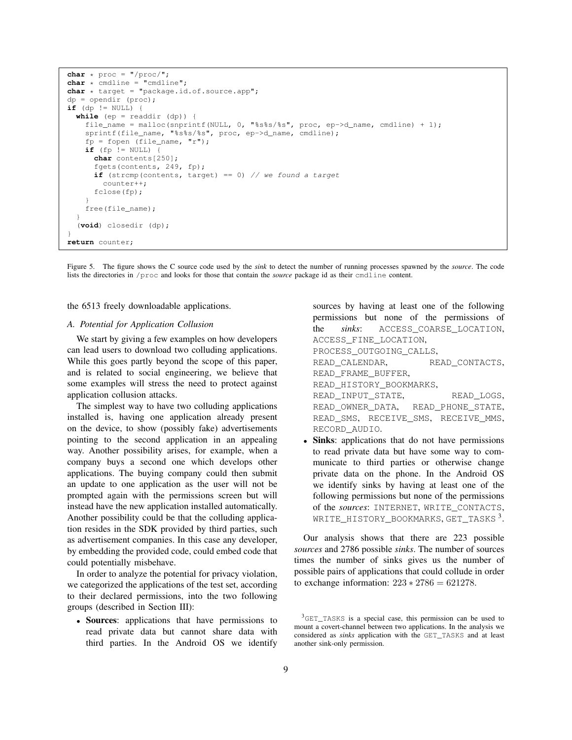```
char * proc = "/proc/".char * cmdline = "cmdline";
char * target = "package.id.of.source.app";
dp = opendir (proc);
if (dp != NULL) {
 while (ep = readdir (dp)) {
    file_name = malloc(snprintf(NULL, 0, "%s%s/%s", proc, ep->d_name, cmdline) + 1);
    sprintf(file_name, "%s%s/%s", proc, ep->d_name, cmdline);
    fp = fopen (file_name, "r");if (fp != NULL) {
     char contents[250];
      fgets(contents, 249, fp);
      if (strcmp(contents, target) == 0) // we found a target
        counter++;
      fclose(fp);
    }
    free(file_name);
  }
  (void) closedir (dp);
}
return counter;
```
<span id="page-8-0"></span>Figure 5. The figure shows the C source code used by the *sink* to detect the number of running processes spawned by the *source*. The code lists the directories in /proc and looks for those that contain the *source* package id as their cmdline content.

the 6513 freely downloadable applications.

## *A. Potential for Application Collusion*

We start by giving a few examples on how developers can lead users to download two colluding applications. While this goes partly beyond the scope of this paper, and is related to social engineering, we believe that some examples will stress the need to protect against application collusion attacks.

The simplest way to have two colluding applications installed is, having one application already present on the device, to show (possibly fake) advertisements pointing to the second application in an appealing way. Another possibility arises, for example, when a company buys a second one which develops other applications. The buying company could then submit an update to one application as the user will not be prompted again with the permissions screen but will instead have the new application installed automatically. Another possibility could be that the colluding application resides in the SDK provided by third parties, such as advertisement companies. In this case any developer, by embedding the provided code, could embed code that could potentially misbehave.

In order to analyze the potential for privacy violation, we categorized the applications of the test set, according to their declared permissions, into the two following groups (described in Section [III\)](#page-4-1):

• Sources: applications that have permissions to read private data but cannot share data with third parties. In the Android OS we identify sources by having at least one of the following permissions but none of the permissions of the *sinks*: ACCESS\_COARSE\_LOCATION, ACCESS\_FINE\_LOCATION, PROCESS\_OUTGOING\_CALLS, READ CALENDAR, READ CONTACTS, READ\_FRAME\_BUFFER, READ\_HISTORY\_BOOKMARKS, READ\_INPUT\_STATE, READ\_LOGS, READ\_OWNER\_DATA, READ\_PHONE\_STATE, READ\_SMS, RECEIVE\_SMS, RECEIVE\_MMS, RECORD\_AUDIO.

• Sinks: applications that do not have permissions to read private data but have some way to communicate to third parties or otherwise change private data on the phone. In the Android OS we identify sinks by having at least one of the following permissions but none of the permissions of the *sources*: INTERNET, WRITE\_CONTACTS, WRITE\_HISTORY\_BOOKMARKS, GET\_TASKS [3](#page-8-1) .

Our analysis shows that there are 223 possible *sources* and 2786 possible *sinks*. The number of sources times the number of sinks gives us the number of possible pairs of applications that could collude in order to exchange information:  $223 * 2786 = 621278$ .

<span id="page-8-1"></span><sup>&</sup>lt;sup>3</sup>GET\_TASKS is a special case, this permission can be used to mount a covert-channel between two applications. In the analysis we considered as *sinks* application with the GET\_TASKS and at least another sink-only permission.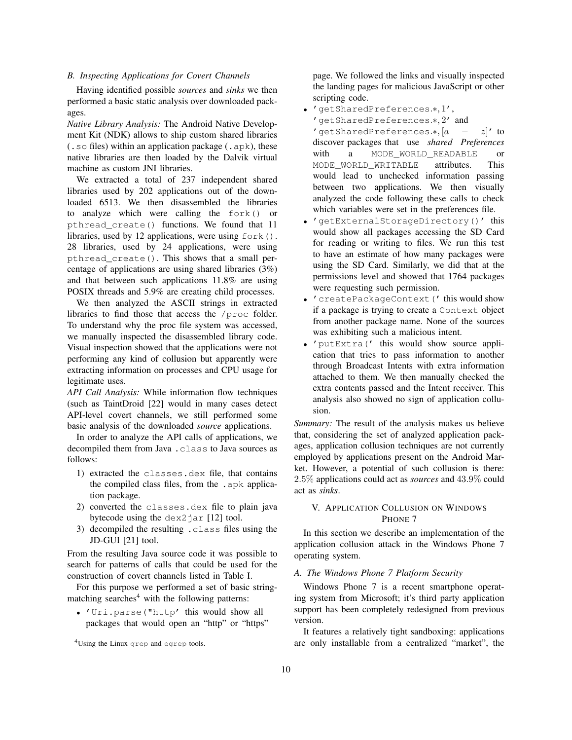## *B. Inspecting Applications for Covert Channels*

Having identified possible *sources* and *sinks* we then performed a basic static analysis over downloaded packages.

*Native Library Analysis:* The Android Native Development Kit (NDK) allows to ship custom shared libraries (.so files) within an application package (.apk), these native libraries are then loaded by the Dalvik virtual machine as custom JNI libraries.

We extracted a total of 237 independent shared libraries used by 202 applications out of the downloaded 6513. We then disassembled the libraries to analyze which were calling the fork() or pthread\_create() functions. We found that 11 libraries, used by 12 applications, were using  $f \circ r k$  (). 28 libraries, used by 24 applications, were using pthread\_create(). This shows that a small percentage of applications are using shared libraries (3%) and that between such applications 11.8% are using POSIX threads and 5.9% are creating child processes.

We then analyzed the ASCII strings in extracted libraries to find those that access the /proc folder. To understand why the proc file system was accessed, we manually inspected the disassembled library code. Visual inspection showed that the applications were not performing any kind of collusion but apparently were extracting information on processes and CPU usage for legitimate uses.

*API Call Analysis:* While information flow techniques (such as TaintDroid [\[22\]](#page-14-6) would in many cases detect API-level covert channels, we still performed some basic analysis of the downloaded *source* applications.

In order to analyze the API calls of applications, we decompiled them from Java .class to Java sources as follows:

- 1) extracted the classes.dex file, that contains the compiled class files, from the .apk application package.
- 2) converted the classes.dex file to plain java bytecode using the  $\text{dex2}$  jar [\[12\]](#page-14-18) tool.
- 3) decompiled the resulting .class files using the JD-GUI [\[21\]](#page-14-19) tool.

From the resulting Java source code it was possible to search for patterns of calls that could be used for the construction of covert channels listed in Table [I.](#page-6-1)

For this purpose we performed a set of basic string-matching searches<sup>[4](#page-9-0)</sup> with the following patterns:

• 'Uri.parse("http' this would show all packages that would open an "http" or "https" page. We followed the links and visually inspected the landing pages for malicious JavaScript or other scripting code.

- 'getSharedPreferences.∗, 1',
- 'getSharedPreferences.∗, 2' and 'getSharedPreferences.\*,  $[a - z]'$  to discover packages that use *shared Preferences* with a MODE\_WORLD\_READABLE or MODE\_WORLD\_WRITABLE attributes. This would lead to unchecked information passing between two applications. We then visually

analyzed the code following these calls to check

- which variables were set in the preferences file. • 'getExternalStorageDirectory()' this would show all packages accessing the SD Card for reading or writing to files. We run this test to have an estimate of how many packages were using the SD Card. Similarly, we did that at the permissions level and showed that 1764 packages were requesting such permission.
- 'createPackageContext(' this would show if a package is trying to create a Context object from another package name. None of the sources was exhibiting such a malicious intent.
- 'putExtra(' this would show source application that tries to pass information to another through Broadcast Intents with extra information attached to them. We then manually checked the extra contents passed and the Intent receiver. This analysis also showed no sign of application collusion.

*Summary:* The result of the analysis makes us believe that, considering the set of analyzed application packages, application collusion techniques are not currently employed by applications present on the Android Market. However, a potential of such collusion is there: 2.5% applications could act as *sources* and 43.9% could act as *sinks*.

# V. APPLICATION COLLUSION ON WINDOWS PHONE 7

In this section we describe an implementation of the application collusion attack in the Windows Phone 7 operating system.

## *A. The Windows Phone 7 Platform Security*

Windows Phone 7 is a recent smartphone operating system from Microsoft; it's third party application support has been completely redesigned from previous version.

It features a relatively tight sandboxing: applications are only installable from a centralized "market", the

<span id="page-9-0"></span><sup>4</sup>Using the Linux grep and egrep tools.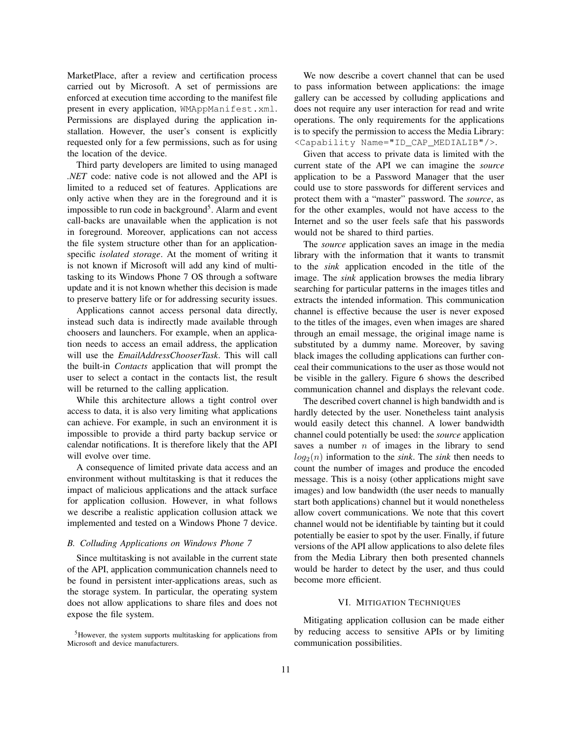MarketPlace, after a review and certification process carried out by Microsoft. A set of permissions are enforced at execution time according to the manifest file present in every application, WMAppManifest.xml. Permissions are displayed during the application installation. However, the user's consent is explicitly requested only for a few permissions, such as for using the location of the device.

Third party developers are limited to using managed *.NET* code: native code is not allowed and the API is limited to a reduced set of features. Applications are only active when they are in the foreground and it is impossible to run code in background<sup>[5](#page-10-0)</sup>. Alarm and event call-backs are unavailable when the application is not in foreground. Moreover, applications can not access the file system structure other than for an applicationspecific *isolated storage*. At the moment of writing it is not known if Microsoft will add any kind of multitasking to its Windows Phone 7 OS through a software update and it is not known whether this decision is made to preserve battery life or for addressing security issues.

Applications cannot access personal data directly, instead such data is indirectly made available through choosers and launchers. For example, when an application needs to access an email address, the application will use the *EmailAddressChooserTask*. This will call the built-in *Contacts* application that will prompt the user to select a contact in the contacts list, the result will be returned to the calling application.

While this architecture allows a tight control over access to data, it is also very limiting what applications can achieve. For example, in such an environment it is impossible to provide a third party backup service or calendar notifications. It is therefore likely that the API will evolve over time.

A consequence of limited private data access and an environment without multitasking is that it reduces the impact of malicious applications and the attack surface for application collusion. However, in what follows we describe a realistic application collusion attack we implemented and tested on a Windows Phone 7 device.

## *B. Colluding Applications on Windows Phone 7*

Since multitasking is not available in the current state of the API, application communication channels need to be found in persistent inter-applications areas, such as the storage system. In particular, the operating system does not allow applications to share files and does not expose the file system.

<span id="page-10-0"></span><sup>5</sup>However, the system supports multitasking for applications from Microsoft and device manufacturers.

We now describe a covert channel that can be used to pass information between applications: the image gallery can be accessed by colluding applications and does not require any user interaction for read and write operations. The only requirements for the applications is to specify the permission to access the Media Library: <Capability Name="ID\_CAP\_MEDIALIB"/>.

Given that access to private data is limited with the current state of the API we can imagine the *source* application to be a Password Manager that the user could use to store passwords for different services and protect them with a "master" password. The *source*, as for the other examples, would not have access to the Internet and so the user feels safe that his passwords would not be shared to third parties.

The *source* application saves an image in the media library with the information that it wants to transmit to the *sink* application encoded in the title of the image. The *sink* application browses the media library searching for particular patterns in the images titles and extracts the intended information. This communication channel is effective because the user is never exposed to the titles of the images, even when images are shared through an email message, the original image name is substituted by a dummy name. Moreover, by saving black images the colluding applications can further conceal their communications to the user as those would not be visible in the gallery. Figure [6](#page-11-0) shows the described communication channel and displays the relevant code.

The described covert channel is high bandwidth and is hardly detected by the user. Nonetheless taint analysis would easily detect this channel. A lower bandwidth channel could potentially be used: the *source* application saves a number  $n$  of images in the library to send  $log_2(n)$  information to the *sink*. The *sink* then needs to count the number of images and produce the encoded message. This is a noisy (other applications might save images) and low bandwidth (the user needs to manually start both applications) channel but it would nonetheless allow covert communications. We note that this covert channel would not be identifiable by tainting but it could potentially be easier to spot by the user. Finally, if future versions of the API allow applications to also delete files from the Media Library then both presented channels would be harder to detect by the user, and thus could become more efficient.

## VI. MITIGATION TECHNIQUES

Mitigating application collusion can be made either by reducing access to sensitive APIs or by limiting communication possibilities.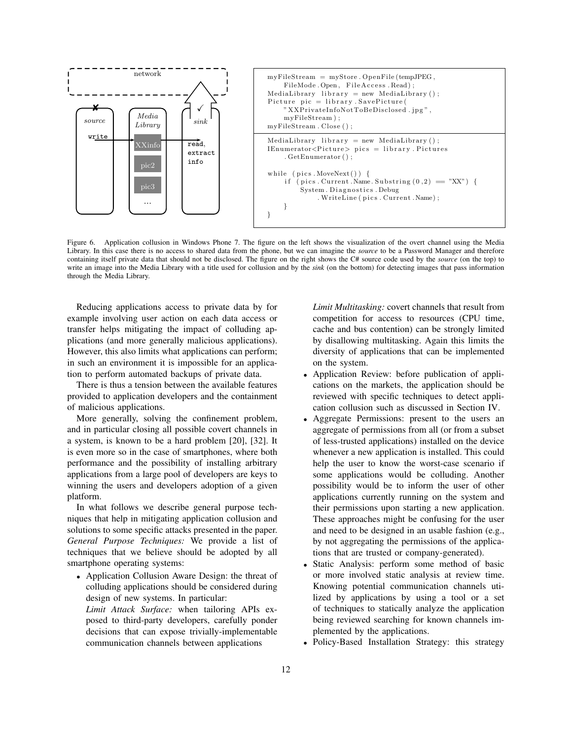

<span id="page-11-0"></span>Figure 6. Application collusion in Windows Phone 7. The figure on the left shows the visualization of the overt channel using the Media Library. In this case there is no access to shared data from the phone, but we can imagine the *source* to be a Password Manager and therefore containing itself private data that should not be disclosed. The figure on the right shows the C# source code used by the *source* (on the top) to write an image into the Media Library with a title used for collusion and by the *sink* (on the bottom) for detecting images that pass information through the Media Library.

Reducing applications access to private data by for example involving user action on each data access or transfer helps mitigating the impact of colluding applications (and more generally malicious applications). However, this also limits what applications can perform; in such an environment it is impossible for an application to perform automated backups of private data.

There is thus a tension between the available features provided to application developers and the containment of malicious applications.

More generally, solving the confinement problem, and in particular closing all possible covert channels in a system, is known to be a hard problem [\[20\]](#page-14-7), [\[32\]](#page-14-8). It is even more so in the case of smartphones, where both performance and the possibility of installing arbitrary applications from a large pool of developers are keys to winning the users and developers adoption of a given platform.

In what follows we describe general purpose techniques that help in mitigating application collusion and solutions to some specific attacks presented in the paper. *General Purpose Techniques:* We provide a list of techniques that we believe should be adopted by all smartphone operating systems:

- Application Collusion Aware Design: the threat of colluding applications should be considered during design of new systems. In particular: *Limit Attack Surface:* when tailoring APIs ex
	- posed to third-party developers, carefully ponder decisions that can expose trivially-implementable communication channels between applications

*Limit Multitasking:* covert channels that result from competition for access to resources (CPU time, cache and bus contention) can be strongly limited by disallowing multitasking. Again this limits the diversity of applications that can be implemented on the system.

- Application Review: before publication of applications on the markets, the application should be reviewed with specific techniques to detect application collusion such as discussed in Section [IV.](#page-7-0)
- Aggregate Permissions: present to the users an aggregate of permissions from all (or from a subset of less-trusted applications) installed on the device whenever a new application is installed. This could help the user to know the worst-case scenario if some applications would be colluding. Another possibility would be to inform the user of other applications currently running on the system and their permissions upon starting a new application. These approaches might be confusing for the user and need to be designed in an usable fashion (e.g., by not aggregating the permissions of the applications that are trusted or company-generated).
- Static Analysis: perform some method of basic or more involved static analysis at review time. Knowing potential communication channels utilized by applications by using a tool or a set of techniques to statically analyze the application being reviewed searching for known channels implemented by the applications.
- Policy-Based Installation Strategy: this strategy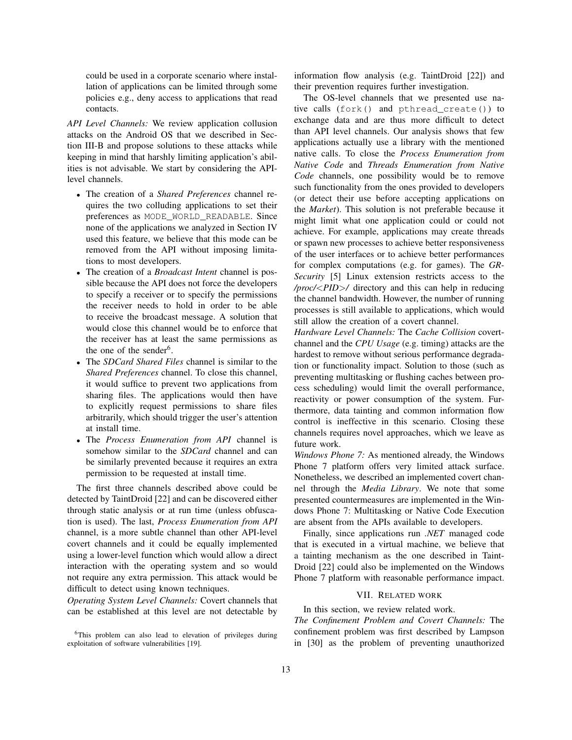could be used in a corporate scenario where installation of applications can be limited through some policies e.g., deny access to applications that read contacts.

*API Level Channels:* We review application collusion attacks on the Android OS that we described in Section [III-B](#page-5-0) and propose solutions to these attacks while keeping in mind that harshly limiting application's abilities is not advisable. We start by considering the APIlevel channels.

- The creation of a *Shared Preferences* channel requires the two colluding applications to set their preferences as MODE\_WORLD\_READABLE. Since none of the applications we analyzed in Section [IV](#page-7-0) used this feature, we believe that this mode can be removed from the API without imposing limitations to most developers.
- The creation of a *Broadcast Intent* channel is possible because the API does not force the developers to specify a receiver or to specify the permissions the receiver needs to hold in order to be able to receive the broadcast message. A solution that would close this channel would be to enforce that the receiver has at least the same permissions as the one of the sender<sup>[6](#page-12-0)</sup>.
- The *SDCard Shared Files* channel is similar to the *Shared Preferences* channel. To close this channel, it would suffice to prevent two applications from sharing files. The applications would then have to explicitly request permissions to share files arbitrarily, which should trigger the user's attention at install time.
- The *Process Enumeration from API* channel is somehow similar to the *SDCard* channel and can be similarly prevented because it requires an extra permission to be requested at install time.

The first three channels described above could be detected by TaintDroid [\[22\]](#page-14-6) and can be discovered either through static analysis or at run time (unless obfuscation is used). The last, *Process Enumeration from API* channel, is a more subtle channel than other API-level covert channels and it could be equally implemented using a lower-level function which would allow a direct interaction with the operating system and so would not require any extra permission. This attack would be difficult to detect using known techniques.

*Operating System Level Channels:* Covert channels that can be established at this level are not detectable by information flow analysis (e.g. TaintDroid [\[22\]](#page-14-6)) and their prevention requires further investigation.

The OS-level channels that we presented use native calls (fork() and pthread\_create()) to exchange data and are thus more difficult to detect than API level channels. Our analysis shows that few applications actually use a library with the mentioned native calls. To close the *Process Enumeration from Native Code* and *Threads Enumeration from Native Code* channels, one possibility would be to remove such functionality from the ones provided to developers (or detect their use before accepting applications on the *Market*). This solution is not preferable because it might limit what one application could or could not achieve. For example, applications may create threads or spawn new processes to achieve better responsiveness of the user interfaces or to achieve better performances for complex computations (e.g. for games). The *GR-Security* [\[5\]](#page-14-20) Linux extension restricts access to the */proc/*<*PID*>*/* directory and this can help in reducing the channel bandwidth. However, the number of running processes is still available to applications, which would still allow the creation of a covert channel.

*Hardware Level Channels:* The *Cache Collision* covertchannel and the *CPU Usage* (e.g. timing) attacks are the hardest to remove without serious performance degradation or functionality impact. Solution to those (such as preventing multitasking or flushing caches between process scheduling) would limit the overall performance, reactivity or power consumption of the system. Furthermore, data tainting and common information flow control is ineffective in this scenario. Closing these channels requires novel approaches, which we leave as future work.

*Windows Phone 7:* As mentioned already, the Windows Phone 7 platform offers very limited attack surface. Nonetheless, we described an implemented covert channel through the *Media Library*. We note that some presented countermeasures are implemented in the Windows Phone 7: Multitasking or Native Code Execution are absent from the APIs available to developers.

Finally, since applications run *.NET* managed code that is executed in a virtual machine, we believe that a tainting mechanism as the one described in Taint-Droid [\[22\]](#page-14-6) could also be implemented on the Windows Phone 7 platform with reasonable performance impact.

## VII. RELATED WORK

In this section, we review related work.

*The Confinement Problem and Covert Channels:* The confinement problem was first described by Lampson in [\[30\]](#page-14-21) as the problem of preventing unauthorized

<span id="page-12-0"></span><sup>6</sup>This problem can also lead to elevation of privileges during exploitation of software vulnerabilities [\[19\]](#page-14-10).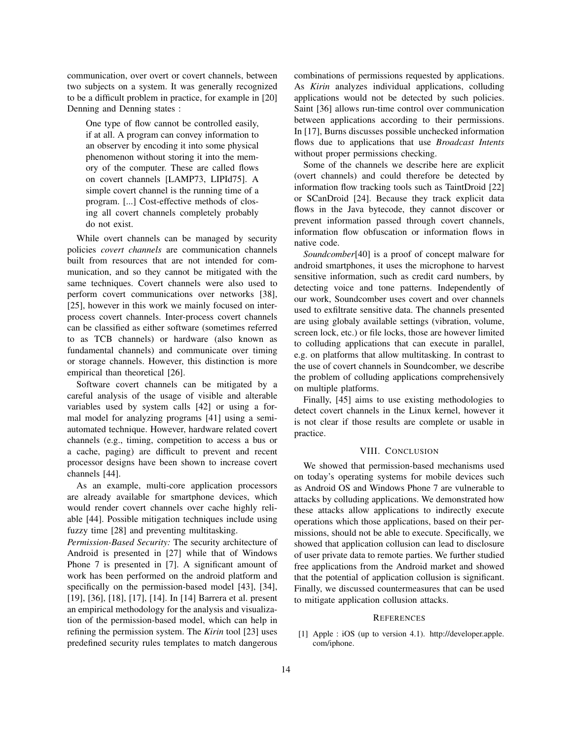communication, over overt or covert channels, between two subjects on a system. It was generally recognized to be a difficult problem in practice, for example in [\[20\]](#page-14-7) Denning and Denning states :

One type of flow cannot be controlled easily, if at all. A program can convey information to an observer by encoding it into some physical phenomenon without storing it into the memory of the computer. These are called flows on covert channels [LAMP73, LIPId75]. A simple covert channel is the running time of a program. [...] Cost-effective methods of closing all covert channels completely probably do not exist.

While overt channels can be managed by security policies *covert channels* are communication channels built from resources that are not intended for communication, and so they cannot be mitigated with the same techniques. Covert channels were also used to perform covert communications over networks [\[38\]](#page-15-6), [\[25\]](#page-14-22), however in this work we mainly focused on interprocess covert channels. Inter-process covert channels can be classified as either software (sometimes referred to as TCB channels) or hardware (also known as fundamental channels) and communicate over timing or storage channels. However, this distinction is more empirical than theoretical [\[26\]](#page-14-23).

Software covert channels can be mitigated by a careful analysis of the usage of visible and alterable variables used by system calls [\[42\]](#page-15-7) or using a formal model for analyzing programs [\[41\]](#page-15-8) using a semiautomated technique. However, hardware related covert channels (e.g., timing, competition to access a bus or a cache, paging) are difficult to prevent and recent processor designs have been shown to increase covert channels [\[44\]](#page-15-9).

As an example, multi-core application processors are already available for smartphone devices, which would render covert channels over cache highly reliable [\[44\]](#page-15-9). Possible mitigation techniques include using fuzzy time [\[28\]](#page-14-24) and preventing multitasking.

*Permission-Based Security:* The security architecture of Android is presented in [\[27\]](#page-14-25) while that of Windows Phone 7 is presented in [\[7\]](#page-14-4). A significant amount of work has been performed on the android platform and specifically on the permission-based model [\[43\]](#page-15-10), [\[34\]](#page-15-0), [\[19\]](#page-14-10), [\[36\]](#page-15-2), [\[18\]](#page-14-26), [\[17\]](#page-14-27), [\[14\]](#page-14-28). In [\[14\]](#page-14-28) Barrera et al. present an empirical methodology for the analysis and visualization of the permission-based model, which can help in refining the permission system. The *Kirin* tool [\[23\]](#page-14-29) uses predefined security rules templates to match dangerous combinations of permissions requested by applications. As *Kirin* analyzes individual applications, colluding applications would not be detected by such policies. Saint [\[36\]](#page-15-2) allows run-time control over communication between applications according to their permissions. In [\[17\]](#page-14-27), Burns discusses possible unchecked information flows due to applications that use *Broadcast Intents* without proper permissions checking.

Some of the channels we describe here are explicit (overt channels) and could therefore be detected by information flow tracking tools such as TaintDroid [\[22\]](#page-14-6) or SCanDroid [\[24\]](#page-14-30). Because they track explicit data flows in the Java bytecode, they cannot discover or prevent information passed through covert channels, information flow obfuscation or information flows in native code.

*Soundcomber*[\[40\]](#page-15-11) is a proof of concept malware for android smartphones, it uses the microphone to harvest sensitive information, such as credit card numbers, by detecting voice and tone patterns. Independently of our work, Soundcomber uses covert and over channels used to exfiltrate sensitive data. The channels presented are using globaly available settings (vibration, volume, screen lock, etc.) or file locks, those are however limited to colluding applications that can execute in parallel, e.g. on platforms that allow multitasking. In contrast to the use of covert channels in Soundcomber, we describe the problem of colluding applications comprehensively on multiple platforms.

Finally, [\[45\]](#page-15-12) aims to use existing methodologies to detect covert channels in the Linux kernel, however it is not clear if those results are complete or usable in practice.

#### VIII. CONCLUSION

We showed that permission-based mechanisms used on today's operating systems for mobile devices such as Android OS and Windows Phone 7 are vulnerable to attacks by colluding applications. We demonstrated how these attacks allow applications to indirectly execute operations which those applications, based on their permissions, should not be able to execute. Specifically, we showed that application collusion can lead to disclosure of user private data to remote parties. We further studied free applications from the Android market and showed that the potential of application collusion is significant. Finally, we discussed countermeasures that can be used to mitigate application collusion attacks.

#### **REFERENCES**

<span id="page-13-0"></span>[1] Apple : iOS (up to version 4.1). [http://developer.apple.](http://developer.apple.com/iphone) [com/iphone.](http://developer.apple.com/iphone)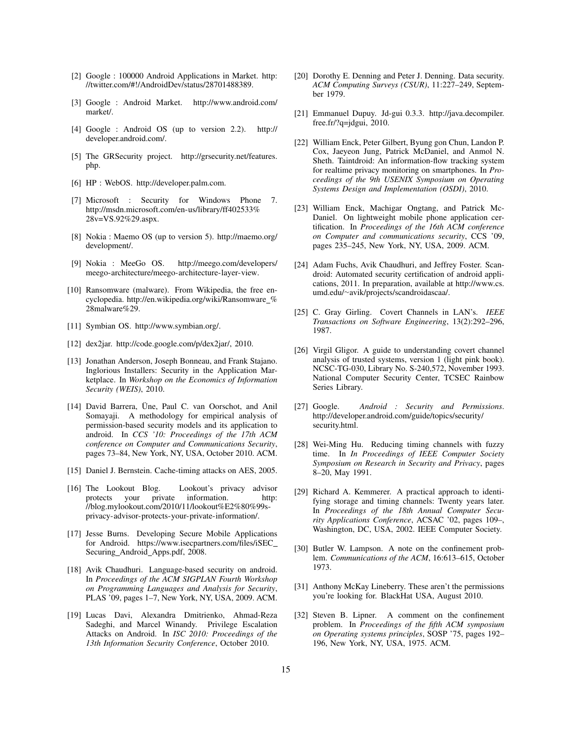- <span id="page-14-17"></span>[2] Google : 100000 Android Applications in Market. [http:](http://twitter.com/#!/AndroidDev/status/28701488389) [//twitter.com/#!/AndroidDev/status/28701488389.](http://twitter.com/#!/AndroidDev/status/28701488389)
- <span id="page-14-16"></span>[3] Google : Android Market. [http://www.android.com/](http://www.android.com/market/) [market/.](http://www.android.com/market/)
- <span id="page-14-1"></span>[4] Google : Android OS (up to version 2.2). [http://](http://developer.android.com/) [developer.android.com/.](http://developer.android.com/)
- <span id="page-14-20"></span>[5] The GRSecurity project. [http://grsecurity.net/features.](http://grsecurity.net/features.php) [php.](http://grsecurity.net/features.php)
- <span id="page-14-11"></span>[6] HP : WebOS. [http://developer.palm.com.](http://developer.palm.com)
- <span id="page-14-4"></span>[7] Microsoft : Security for Windows Phone 7. [http://msdn.microsoft.com/en-us/library/ff402533%](http://msdn.microsoft.com/en-us/library/ff402533%28v=VS.92%29.aspx) [28v=VS.92%29.aspx.](http://msdn.microsoft.com/en-us/library/ff402533%28v=VS.92%29.aspx)
- <span id="page-14-12"></span>[8] Nokia : Maemo OS (up to version 5). [http://maemo.org/](http://maemo.org/development/) [development/.](http://maemo.org/development/)
- <span id="page-14-3"></span>[9] Nokia : MeeGo OS. [http://meego.com/developers/](http://meego.com/developers/meego-architecture/meego-architecture-layer-view) [meego-architecture/meego-architecture-layer-view.](http://meego.com/developers/meego-architecture/meego-architecture-layer-view)
- <span id="page-14-9"></span>[10] Ransomware (malware). From Wikipedia, the free encyclopedia. [http://en.wikipedia.org/wiki/Ransomware](http://en.wikipedia.org/wiki/Ransomware_%28malware%29)\_% [28malware%29.](http://en.wikipedia.org/wiki/Ransomware_%28malware%29)
- <span id="page-14-2"></span>[11] Symbian OS. [http://www.symbian.org/.](http://www.symbian.org/)
- <span id="page-14-18"></span>[12] dex2jar. [http://code.google.com/p/dex2jar/,](http://code.google.com/p/dex2jar/) 2010.
- <span id="page-14-0"></span>[13] Jonathan Anderson, Joseph Bonneau, and Frank Stajano. Inglorious Installers: Security in the Application Marketplace. In *Workshop on the Economics of Information Security (WEIS)*, 2010.
- <span id="page-14-28"></span>[14] David Barrera, Üne, Paul C. van Oorschot, and Anil Somayaji. A methodology for empirical analysis of permission-based security models and its application to android. In *CCS '10: Proceedings of the 17th ACM conference on Computer and Communications Security*, pages 73–84, New York, NY, USA, October 2010. ACM.
- <span id="page-14-14"></span>[15] Daniel J. Bernstein. Cache-timing attacks on AES, 2005.
- <span id="page-14-5"></span>[16] The Lookout Blog. Lookout's privacy advisor protects your private information. [http:](http://blog.mylookout.com/2010/11/lookout%E2%80%99s-privacy-advisor-protects-your-private-information/) [//blog.mylookout.com/2010/11/lookout%E2%80%99s](http://blog.mylookout.com/2010/11/lookout%E2%80%99s-privacy-advisor-protects-your-private-information/)[privacy-advisor-protects-your-private-information/.](http://blog.mylookout.com/2010/11/lookout%E2%80%99s-privacy-advisor-protects-your-private-information/)
- <span id="page-14-27"></span>[17] Jesse Burns. Developing Secure Mobile Applications for Android. [https://www.isecpartners.com/files/iSEC](https://www.isecpartners.com/files/iSEC_Securing_Android_Apps.pdf) Securing Android [Apps.pdf,](https://www.isecpartners.com/files/iSEC_Securing_Android_Apps.pdf) 2008.
- <span id="page-14-26"></span>[18] Avik Chaudhuri. Language-based security on android. In *Proceedings of the ACM SIGPLAN Fourth Workshop on Programming Languages and Analysis for Security*, PLAS '09, pages 1–7, New York, NY, USA, 2009. ACM.
- <span id="page-14-10"></span>[19] Lucas Davi, Alexandra Dmitrienko, Ahmad-Reza Sadeghi, and Marcel Winandy. Privilege Escalation Attacks on Android. In *ISC 2010: Proceedings of the 13th Information Security Conference*, October 2010.
- <span id="page-14-7"></span>[20] Dorothy E. Denning and Peter J. Denning. Data security. *ACM Computing Surveys (CSUR)*, 11:227–249, September 1979.
- <span id="page-14-19"></span>[21] Emmanuel Dupuy. Jd-gui 0.3.3. [http://java.decompiler.](http://java.decompiler.free.fr/?q=jdgui) [free.fr/?q=jdgui,](http://java.decompiler.free.fr/?q=jdgui) 2010.
- <span id="page-14-6"></span>[22] William Enck, Peter Gilbert, Byung gon Chun, Landon P. Cox, Jaeyeon Jung, Patrick McDaniel, and Anmol N. Sheth. Taintdroid: An information-flow tracking system for realtime privacy monitoring on smartphones. In *Proceedings of the 9th USENIX Symposium on Operating Systems Design and Implementation (OSDI)*, 2010.
- <span id="page-14-29"></span>[23] William Enck, Machigar Ongtang, and Patrick Mc-Daniel. On lightweight mobile phone application certification. In *Proceedings of the 16th ACM conference on Computer and communications security*, CCS '09, pages 235–245, New York, NY, USA, 2009. ACM.
- <span id="page-14-30"></span>[24] Adam Fuchs, Avik Chaudhuri, and Jeffrey Foster. Scandroid: Automated security certification of android applications, 2011. In preparation, available at [http://www.cs.](http://www.cs.umd.edu/~avik/projects/scandroidascaa/) umd.edu/∼[avik/projects/scandroidascaa/.](http://www.cs.umd.edu/~avik/projects/scandroidascaa/)
- <span id="page-14-22"></span>[25] C. Gray Girling. Covert Channels in LAN's. *IEEE Transactions on Software Engineering*, 13(2):292–296, 1987.
- <span id="page-14-23"></span>[26] Virgil Gligor. A guide to understanding covert channel analysis of trusted systems, version 1 (light pink book). NCSC-TG-030, Library No. S-240,572, November 1993. National Computer Security Center, TCSEC Rainbow Series Library.
- <span id="page-14-25"></span>[27] Google. *Android : Security and Permissions*. [http://developer.android.com/guide/topics/security/](http://developer.android.com/guide/topics/security/security.html) [security.html.](http://developer.android.com/guide/topics/security/security.html)
- <span id="page-14-24"></span>[28] Wei-Ming Hu. Reducing timing channels with fuzzy time. In *In Proceedings of IEEE Computer Society Symposium on Research in Security and Privacy*, pages 8–20, May 1991.
- <span id="page-14-13"></span>[29] Richard A. Kemmerer. A practical approach to identifying storage and timing channels: Twenty years later. In *Proceedings of the 18th Annual Computer Security Applications Conference*, ACSAC '02, pages 109–, Washington, DC, USA, 2002. IEEE Computer Society.
- <span id="page-14-21"></span>[30] Butler W. Lampson. A note on the confinement problem. *Communications of the ACM*, 16:613–615, October 1973.
- <span id="page-14-15"></span>[31] Anthony McKay Lineberry. These aren't the permissions you're looking for. BlackHat USA, August 2010.
- <span id="page-14-8"></span>[32] Steven B. Lipner. A comment on the confinement problem. In *Proceedings of the fifth ACM symposium on Operating systems principles*, SOSP '75, pages 192– 196, New York, NY, USA, 1975. ACM.